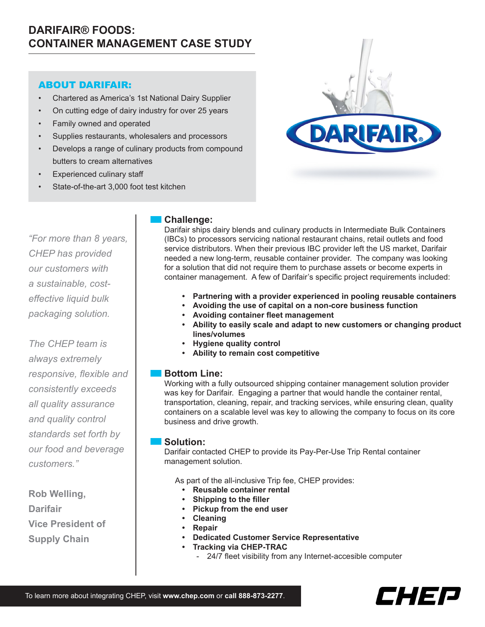# **DARIFAIR® FOODS: CONTAINER MANAGEMENT CASE STUDY**

# ABOUT DARIFAIR:

- • Chartered as America's 1st National Dairy Supplier
- On cutting edge of dairy industry for over 25 years
- Family owned and operated
- Supplies restaurants, wholesalers and processors
- Develops a range of culinary products from compound butters to cream alternatives
- Experienced culinary staff
- State-of-the-art 3,000 foot test kitchen

*"For more than 8 years, CHEP has provided our customers with a sustainable, costeffective liquid bulk packaging solution.* 

*The CHEP team is always extremely responsive, flexible and consistently exceeds all quality assurance and quality control standards set forth by our food and beverage customers."*

**Rob Welling, Darifair Vice President of Supply Chain**

### **Challenge:**

Darifair ships dairy blends and culinary products in Intermediate Bulk Containers (IBCs) to processors servicing national restaurant chains, retail outlets and food service distributors. When their previous IBC provider left the US market, Darifair needed a new long-term, reusable container provider. The company was looking for a solution that did not require them to purchase assets or become experts in container management. A few of Darifair's specific project requirements included:

- **• Partnering with a provider experienced in pooling reusable containers**
- **• Avoiding the use of capital on a non-core business function**
- **• Avoiding container fleet management**
- **• Ability to easily scale and adapt to new customers or changing product lines/volumes**
- **Hygiene quality control**
- **• Ability to remain cost competitive**

### **Bottom Line:**

Working with a fully outsourced shipping container management solution provider was key for Darifair. Engaging a partner that would handle the container rental, transportation, cleaning, repair, and tracking services, while ensuring clean, quality containers on a scalable level was key to allowing the company to focus on its core business and drive growth.

#### **Solution:**

Darifair contacted CHEP to provide its Pay-Per-Use Trip Rental container management solution.

As part of the all-inclusive Trip fee, CHEP provides:

- **• Reusable container rental**
- **• Shipping to the filler**
- **• Pickup from the end user**
- **• Cleaning**
- **• Repair**
- **Dedicated Customer Service Representative**
- **• Tracking via CHEP-TRAC**
	- 24/7 fleet visibility from any Internet-accesible computer